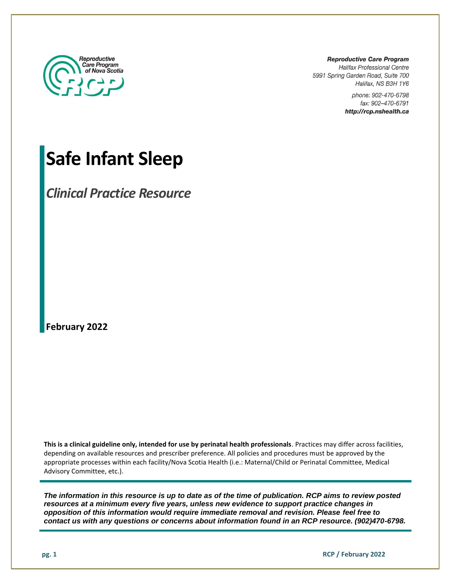

**Reproductive Care Program Halifax Professional Centre** 5991 Spring Garden Road, Suite 700 Halifax, NS B3H 1Y6

> phone: 902-470-6798 fax: 902-470-6791 http://rcp.nshealth.ca

# **Safe Infant Sleep**

*Clinical Practice Resource*

**February 2022**

**This is a clinical guideline only, intended for use by perinatal health professionals**. Practices may differ across facilities, depending on available resources and prescriber preference. All policies and procedures must be approved by the appropriate processes within each facility/Nova Scotia Health (i.e.: Maternal/Child or Perinatal Committee, Medical Advisory Committee, etc.).

*The information in this resource is up to date as of the time of publication. RCP aims to review posted resources at a minimum every five years, unless new evidence to support practice changes in opposition of this information would require immediate removal and revision. Please feel free to contact us with any questions or concerns about information found in an RCP resource. (902)470-6798.*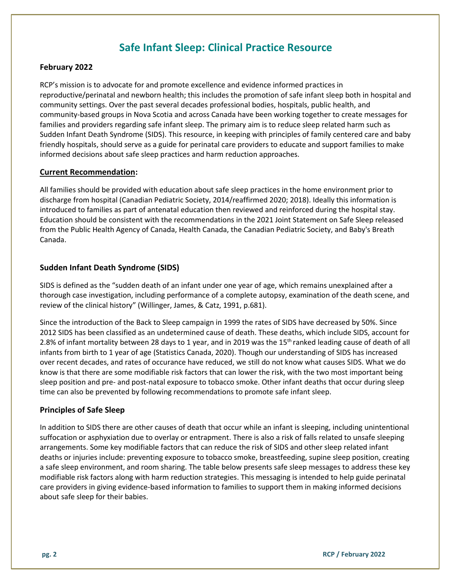## **Safe Infant Sleep: Clinical Practice Resource**

#### **February 2022**

RCP's mission is to advocate for and promote excellence and evidence informed practices in reproductive/perinatal and newborn health; this includes the promotion of safe infant sleep both in hospital and community settings. Over the past several decades professional bodies, hospitals, public health, and community-based groups in Nova Scotia and across Canada have been working together to create messages for families and providers regarding safe infant sleep. The primary aim is to reduce sleep related harm such as Sudden Infant Death Syndrome (SIDS). This resource, in keeping with principles of family centered care and baby friendly hospitals, should serve as a guide for perinatal care providers to educate and support families to make informed decisions about safe sleep practices and harm reduction approaches.

#### **Current Recommendation:**

All families should be provided with education about safe sleep practices in the home environment prior to discharge from hospital (Canadian Pediatric Society, 2014/reaffirmed 2020; 2018). Ideally this information is introduced to families as part of antenatal education then reviewed and reinforced during the hospital stay. Education should be consistent with the recommendations in the 2021 Joint Statement on Safe Sleep released from the Public Health Agency of Canada, Health Canada, the Canadian Pediatric Society, and Baby's Breath Canada.

#### **Sudden Infant Death Syndrome (SIDS)**

SIDS is defined as the "sudden death of an infant under one year of age, which remains unexplained after a thorough case investigation, including performance of a complete autopsy, examination of the death scene, and review of the clinical history" (Willinger, James, & Catz, 1991, p.681).

Since the introduction of the Back to Sleep campaign in 1999 the rates of SIDS have decreased by 50%. Since 2012 SIDS has been classified as an undetermined cause of death. These deaths, which include SIDS, account for 2.8% of infant mortality between 28 days to 1 year, and in 2019 was the 15<sup>th</sup> ranked leading cause of death of all infants from birth to 1 year of age (Statistics Canada, 2020). Though our understanding of SIDS has increased over recent decades, and rates of occurance have reduced, we still do not know what causes SIDS. What we do know is that there are some modifiable risk factors that can lower the risk, with the two most important being sleep position and pre- and post-natal exposure to tobacco smoke. Other infant deaths that occur during sleep time can also be prevented by following recommendations to promote safe infant sleep.

#### **Principles of Safe Sleep**

In addition to SIDS there are other causes of death that occur while an infant is sleeping, including unintentional suffocation or asphyxiation due to overlay or entrapment. There is also a risk of falls related to unsafe sleeping arrangements. Some key modifiable factors that can reduce the risk of SIDS and other sleep related infant deaths or injuries include: preventing exposure to tobacco smoke, breastfeeding, supine sleep position, creating a safe sleep environment, and room sharing. The table below presents safe sleep messages to address these key modifiable risk factors along with harm reduction strategies. This messaging is intended to help guide perinatal care providers in giving evidence-based information to families to support them in making informed decisions about safe sleep for their babies.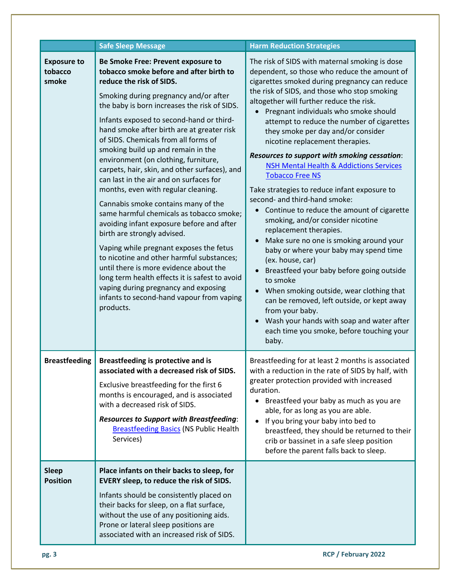|                                        | <b>Safe Sleep Message</b>                                                                                                                                                                                                                                                                                                                                                                                                                                                                                                                                                                                                                                                                                                                                                                                                                                                                                                                                                                                  | <b>Harm Reduction Strategies</b>                                                                                                                                                                                                                                                                                                                                                                                                                                                                                                                                                                                                                                                                                                                                                                                                                                                                                                                                                                                                                                                                                            |
|----------------------------------------|------------------------------------------------------------------------------------------------------------------------------------------------------------------------------------------------------------------------------------------------------------------------------------------------------------------------------------------------------------------------------------------------------------------------------------------------------------------------------------------------------------------------------------------------------------------------------------------------------------------------------------------------------------------------------------------------------------------------------------------------------------------------------------------------------------------------------------------------------------------------------------------------------------------------------------------------------------------------------------------------------------|-----------------------------------------------------------------------------------------------------------------------------------------------------------------------------------------------------------------------------------------------------------------------------------------------------------------------------------------------------------------------------------------------------------------------------------------------------------------------------------------------------------------------------------------------------------------------------------------------------------------------------------------------------------------------------------------------------------------------------------------------------------------------------------------------------------------------------------------------------------------------------------------------------------------------------------------------------------------------------------------------------------------------------------------------------------------------------------------------------------------------------|
| <b>Exposure to</b><br>tobacco<br>smoke | Be Smoke Free: Prevent exposure to<br>tobacco smoke before and after birth to<br>reduce the risk of SIDS.<br>Smoking during pregnancy and/or after<br>the baby is born increases the risk of SIDS.<br>Infants exposed to second-hand or third-<br>hand smoke after birth are at greater risk<br>of SIDS. Chemicals from all forms of<br>smoking build up and remain in the<br>environment (on clothing, furniture,<br>carpets, hair, skin, and other surfaces), and<br>can last in the air and on surfaces for<br>months, even with regular cleaning.<br>Cannabis smoke contains many of the<br>same harmful chemicals as tobacco smoke;<br>avoiding infant exposure before and after<br>birth are strongly advised.<br>Vaping while pregnant exposes the fetus<br>to nicotine and other harmful substances;<br>until there is more evidence about the<br>long term health effects it is safest to avoid<br>vaping during pregnancy and exposing<br>infants to second-hand vapour from vaping<br>products. | The risk of SIDS with maternal smoking is dose<br>dependent, so those who reduce the amount of<br>cigarettes smoked during pregnancy can reduce<br>the risk of SIDS, and those who stop smoking<br>altogether will further reduce the risk.<br>Pregnant individuals who smoke should<br>attempt to reduce the number of cigarettes<br>they smoke per day and/or consider<br>nicotine replacement therapies.<br>Resources to support with smoking cessation:<br><b>NSH Mental Health &amp; Addictions Services</b><br><b>Tobacco Free NS</b><br>Take strategies to reduce infant exposure to<br>second- and third-hand smoke:<br>Continue to reduce the amount of cigarette<br>smoking, and/or consider nicotine<br>replacement therapies.<br>Make sure no one is smoking around your<br>baby or where your baby may spend time<br>(ex. house, car)<br>Breastfeed your baby before going outside<br>to smoke<br>When smoking outside, wear clothing that<br>can be removed, left outside, or kept away<br>from your baby.<br>Wash your hands with soap and water after<br>each time you smoke, before touching your<br>baby. |
| <b>Breastfeeding</b>                   | Breastfeeding is protective and is<br>associated with a decreased risk of SIDS.<br>Exclusive breastfeeding for the first 6<br>months is encouraged, and is associated<br>with a decreased risk of SIDS.<br><b>Resources to Support with Breastfeeding:</b><br><b>Breastfeeding Basics (NS Public Health</b><br>Services)                                                                                                                                                                                                                                                                                                                                                                                                                                                                                                                                                                                                                                                                                   | Breastfeeding for at least 2 months is associated<br>with a reduction in the rate of SIDS by half, with<br>greater protection provided with increased<br>duration.<br>• Breastfeed your baby as much as you are<br>able, for as long as you are able.<br>If you bring your baby into bed to<br>breastfeed, they should be returned to their<br>crib or bassinet in a safe sleep position<br>before the parent falls back to sleep.                                                                                                                                                                                                                                                                                                                                                                                                                                                                                                                                                                                                                                                                                          |
| <b>Sleep</b><br><b>Position</b>        | Place infants on their backs to sleep, for<br>EVERY sleep, to reduce the risk of SIDS.<br>Infants should be consistently placed on<br>their backs for sleep, on a flat surface,<br>without the use of any positioning aids.<br>Prone or lateral sleep positions are<br>associated with an increased risk of SIDS.                                                                                                                                                                                                                                                                                                                                                                                                                                                                                                                                                                                                                                                                                          |                                                                                                                                                                                                                                                                                                                                                                                                                                                                                                                                                                                                                                                                                                                                                                                                                                                                                                                                                                                                                                                                                                                             |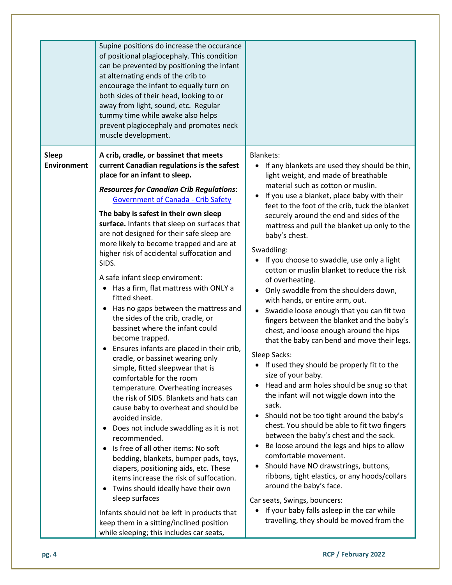|                                    | Supine positions do increase the occurance<br>of positional plagiocephaly. This condition<br>can be prevented by positioning the infant<br>at alternating ends of the crib to<br>encourage the infant to equally turn on<br>both sides of their head, looking to or<br>away from light, sound, etc. Regular<br>tummy time while awake also helps<br>prevent plagiocephaly and promotes neck<br>muscle development.                                                                                                                                                                                                                                                                                                                                                                                                                                                                                                                                                                                                                                                                                                                                                                                                                                                                                                                                                                    |                                                                                                                                                                                                                                                                                                                                                                                                                                                                                                                                                                                                                                                                                                                                                                                                                                                                                                                                                                                                                                                                                                                                                                                                                                                                                                                                                                                                                                                                                                 |
|------------------------------------|---------------------------------------------------------------------------------------------------------------------------------------------------------------------------------------------------------------------------------------------------------------------------------------------------------------------------------------------------------------------------------------------------------------------------------------------------------------------------------------------------------------------------------------------------------------------------------------------------------------------------------------------------------------------------------------------------------------------------------------------------------------------------------------------------------------------------------------------------------------------------------------------------------------------------------------------------------------------------------------------------------------------------------------------------------------------------------------------------------------------------------------------------------------------------------------------------------------------------------------------------------------------------------------------------------------------------------------------------------------------------------------|-------------------------------------------------------------------------------------------------------------------------------------------------------------------------------------------------------------------------------------------------------------------------------------------------------------------------------------------------------------------------------------------------------------------------------------------------------------------------------------------------------------------------------------------------------------------------------------------------------------------------------------------------------------------------------------------------------------------------------------------------------------------------------------------------------------------------------------------------------------------------------------------------------------------------------------------------------------------------------------------------------------------------------------------------------------------------------------------------------------------------------------------------------------------------------------------------------------------------------------------------------------------------------------------------------------------------------------------------------------------------------------------------------------------------------------------------------------------------------------------------|
| <b>Sleep</b><br><b>Environment</b> | A crib, cradle, or bassinet that meets<br>current Canadian regulations is the safest<br>place for an infant to sleep.<br><b>Resources for Canadian Crib Regulations:</b><br><b>Government of Canada - Crib Safety</b><br>The baby is safest in their own sleep<br>surface. Infants that sleep on surfaces that<br>are not designed for their safe sleep are<br>more likely to become trapped and are at<br>higher risk of accidental suffocation and<br>SIDS.<br>A safe infant sleep enviroment:<br>Has a firm, flat mattress with ONLY a<br>$\bullet$<br>fitted sheet.<br>Has no gaps between the mattress and<br>$\bullet$<br>the sides of the crib, cradle, or<br>bassinet where the infant could<br>become trapped.<br>Ensures infants are placed in their crib,<br>cradle, or bassinet wearing only<br>simple, fitted sleepwear that is<br>comfortable for the room<br>temperature. Overheating increases<br>the risk of SIDS. Blankets and hats can<br>cause baby to overheat and should be<br>avoided inside.<br>Does not include swaddling as it is not<br>$\bullet$<br>recommended.<br>Is free of all other items: No soft<br>bedding, blankets, bumper pads, toys,<br>diapers, positioning aids, etc. These<br>items increase the risk of suffocation.<br>Twins should ideally have their own<br>$\bullet$<br>sleep surfaces<br>Infants should not be left in products that | <b>Blankets:</b><br>If any blankets are used they should be thin,<br>light weight, and made of breathable<br>material such as cotton or muslin.<br>If you use a blanket, place baby with their<br>feet to the foot of the crib, tuck the blanket<br>securely around the end and sides of the<br>mattress and pull the blanket up only to the<br>baby's chest.<br>Swaddling:<br>• If you choose to swaddle, use only a light<br>cotton or muslin blanket to reduce the risk<br>of overheating.<br>Only swaddle from the shoulders down,<br>$\bullet$<br>with hands, or entire arm, out.<br>Swaddle loose enough that you can fit two<br>$\bullet$<br>fingers between the blanket and the baby's<br>chest, and loose enough around the hips<br>that the baby can bend and move their legs.<br>Sleep Sacks:<br>If used they should be properly fit to the<br>size of your baby.<br>Head and arm holes should be snug so that<br>$\bullet$<br>the infant will not wiggle down into the<br>sack.<br>Should not be too tight around the baby's<br>$\bullet$<br>chest. You should be able to fit two fingers<br>between the baby's chest and the sack.<br>Be loose around the legs and hips to allow<br>$\bullet$<br>comfortable movement.<br>Should have NO drawstrings, buttons,<br>$\bullet$<br>ribbons, tight elastics, or any hoods/collars<br>around the baby's face.<br>Car seats, Swings, bouncers:<br>If your baby falls asleep in the car while<br>travelling, they should be moved from the |
|                                    | keep them in a sitting/inclined position<br>while sleeping; this includes car seats,                                                                                                                                                                                                                                                                                                                                                                                                                                                                                                                                                                                                                                                                                                                                                                                                                                                                                                                                                                                                                                                                                                                                                                                                                                                                                                  |                                                                                                                                                                                                                                                                                                                                                                                                                                                                                                                                                                                                                                                                                                                                                                                                                                                                                                                                                                                                                                                                                                                                                                                                                                                                                                                                                                                                                                                                                                 |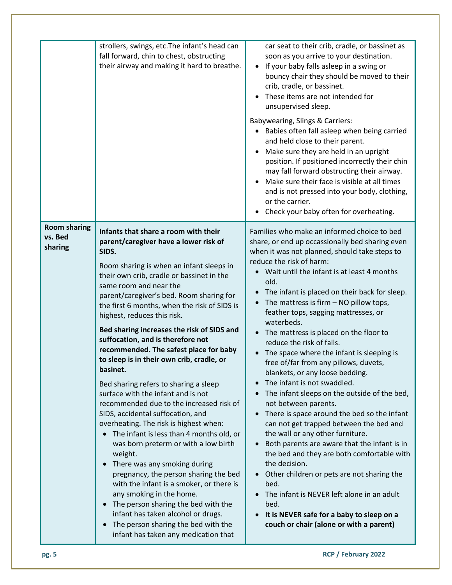|                                           | strollers, swings, etc. The infant's head can<br>fall forward, chin to chest, obstructing<br>their airway and making it hard to breathe.                                                                                                                                                                                                                                                                                                                                                                                                                                                                                                                                                                                                                                                                                                                                                                                                                                                                                                                                                                                                                      | car seat to their crib, cradle, or bassinet as<br>soon as you arrive to your destination.<br>If your baby falls asleep in a swing or<br>bouncy chair they should be moved to their<br>crib, cradle, or bassinet.<br>These items are not intended for<br>unsupervised sleep.<br>Babywearing, Slings & Carriers:<br>Babies often fall asleep when being carried<br>and held close to their parent.<br>Make sure they are held in an upright<br>position. If positioned incorrectly their chin<br>may fall forward obstructing their airway.<br>Make sure their face is visible at all times<br>and is not pressed into your body, clothing,<br>or the carrier.<br>Check your baby often for overheating.                                                                                                                                                                                                                                                                                                                                                                                                                                                    |
|-------------------------------------------|---------------------------------------------------------------------------------------------------------------------------------------------------------------------------------------------------------------------------------------------------------------------------------------------------------------------------------------------------------------------------------------------------------------------------------------------------------------------------------------------------------------------------------------------------------------------------------------------------------------------------------------------------------------------------------------------------------------------------------------------------------------------------------------------------------------------------------------------------------------------------------------------------------------------------------------------------------------------------------------------------------------------------------------------------------------------------------------------------------------------------------------------------------------|-----------------------------------------------------------------------------------------------------------------------------------------------------------------------------------------------------------------------------------------------------------------------------------------------------------------------------------------------------------------------------------------------------------------------------------------------------------------------------------------------------------------------------------------------------------------------------------------------------------------------------------------------------------------------------------------------------------------------------------------------------------------------------------------------------------------------------------------------------------------------------------------------------------------------------------------------------------------------------------------------------------------------------------------------------------------------------------------------------------------------------------------------------------|
| <b>Room sharing</b><br>vs. Bed<br>sharing | Infants that share a room with their<br>parent/caregiver have a lower risk of<br>SIDS.<br>Room sharing is when an infant sleeps in<br>their own crib, cradle or bassinet in the<br>same room and near the<br>parent/caregiver's bed. Room sharing for<br>the first 6 months, when the risk of SIDS is<br>highest, reduces this risk.<br>Bed sharing increases the risk of SIDS and<br>suffocation, and is therefore not<br>recommended. The safest place for baby<br>to sleep is in their own crib, cradle, or<br>basinet.<br>Bed sharing refers to sharing a sleep<br>surface with the infant and is not<br>recommended due to the increased risk of<br>SIDS, accidental suffocation, and<br>overheating. The risk is highest when:<br>The infant is less than 4 months old, or<br>was born preterm or with a low birth<br>weight.<br>There was any smoking during<br>pregnancy, the person sharing the bed<br>with the infant is a smoker, or there is<br>any smoking in the home.<br>The person sharing the bed with the<br>infant has taken alcohol or drugs.<br>The person sharing the bed with the<br>$\bullet$<br>infant has taken any medication that | Families who make an informed choice to bed<br>share, or end up occassionally bed sharing even<br>when it was not planned, should take steps to<br>reduce the risk of harm:<br>Wait until the infant is at least 4 months<br>old.<br>The infant is placed on their back for sleep.<br>The mattress is firm $-$ NO pillow tops,<br>feather tops, sagging mattresses, or<br>waterbeds.<br>The mattress is placed on the floor to<br>reduce the risk of falls.<br>The space where the infant is sleeping is<br>free of/far from any pillows, duvets,<br>blankets, or any loose bedding.<br>The infant is not swaddled.<br>The infant sleeps on the outside of the bed,<br>not between parents.<br>There is space around the bed so the infant<br>can not get trapped between the bed and<br>the wall or any other furniture.<br>Both parents are aware that the infant is in<br>the bed and they are both comfortable with<br>the decision.<br>Other children or pets are not sharing the<br>bed.<br>The infant is NEVER left alone in an adult<br>bed.<br>It is NEVER safe for a baby to sleep on a<br>$\bullet$<br>couch or chair (alone or with a parent) |